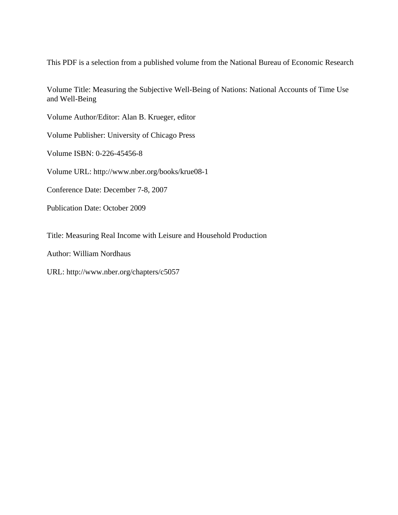This PDF is a selection from a published volume from the National Bureau of Economic Research

Volume Title: Measuring the Subjective Well-Being of Nations: National Accounts of Time Use and Well-Being

Volume Author/Editor: Alan B. Krueger, editor

Volume Publisher: University of Chicago Press

Volume ISBN: 0-226-45456-8

Volume URL: http://www.nber.org/books/krue08-1

Conference Date: December 7-8, 2007

Publication Date: October 2009

Title: Measuring Real Income with Leisure and Household Production

Author: William Nordhaus

URL: http://www.nber.org/chapters/c5057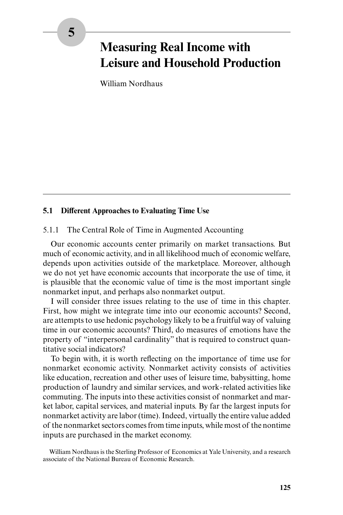# **Measuring Real Income with Leisure and Household Production**

William Nordhaus

**5**

## **5.1 Different Approaches to Evaluating Time Use**

5.1.1 The Central Role of Time in Augmented Accounting

Our economic accounts center primarily on market transactions. But much of economic activity, and in all likelihood much of economic welfare, depends upon activities outside of the marketplace. Moreover, although we do not yet have economic accounts that incorporate the use of time, it is plausible that the economic value of time is the most important single nonmarket input, and perhaps also nonmarket output.

I will consider three issues relating to the use of time in this chapter. First, how might we integrate time into our economic accounts? Second, are attempts to use hedonic psychology likely to be a fruitful way of valuing time in our economic accounts? Third, do measures of emotions have the property of "interpersonal cardinality" that is required to construct quantitative social indicators?

To begin with, it is worth reflecting on the importance of time use for nonmarket economic activity. Nonmarket activity consists of activities like education, recreation and other uses of leisure time, babysitting, home production of laundry and similar services, and work- related activities like commuting. The inputs into these activities consist of nonmarket and market labor, capital services, and material inputs. By far the largest inputs for nonmarket activity are labor (time). Indeed, virtually the entire value added of the nonmarket sectors comes from time inputs, while most of the nontime inputs are purchased in the market economy.

William Nordhaus is the Sterling Professor of Economics at Yale University, and a research associate of the National Bureau of Economic Research.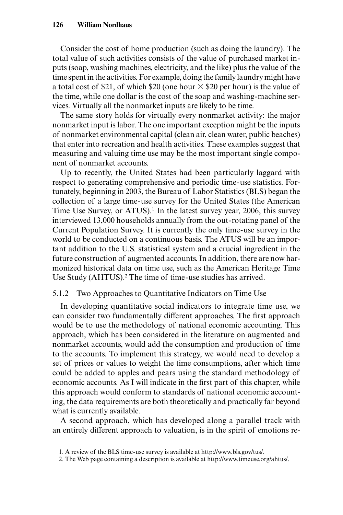Consider the cost of home production (such as doing the laundry). The total value of such activities consists of the value of purchased market inputs (soap, washing machines, electricity, and the like) plus the value of the time spent in the activities. For example, doing the family laundry might have a total cost of \$21, of which \$20 (one hour  $\times$  \$20 per hour) is the value of the time, while one dollar is the cost of the soap and washing- machine services. Virtually all the nonmarket inputs are likely to be time.

The same story holds for virtually every nonmarket activity: the major nonmarket input is labor. The one important exception might be the inputs of nonmarket environmental capital (clean air, clean water, public beaches) that enter into recreation and health activities. These examples suggest that measuring and valuing time use may be the most important single component of nonmarket accounts.

Up to recently, the United States had been particularly laggard with respect to generating comprehensive and periodic time- use statistics. Fortunately, beginning in 2003, the Bureau of Labor Statistics (BLS) began the collection of a large time- use survey for the United States (the American Time Use Survey, or ATUS).<sup>1</sup> In the latest survey year, 2006, this survey interviewed 13,000 households annually from the out- rotating panel of the Current Population Survey. It is currently the only time- use survey in the world to be conducted on a continuous basis. The ATUS will be an important addition to the U.S. statistical system and a crucial ingredient in the future construction of augmented accounts. In addition, there are now harmonized historical data on time use, such as the American Heritage Time Use Study (AHTUS).<sup>2</sup> The time of time-use studies has arrived.

#### 5.1.2 Two Approaches to Quantitative Indicators on Time Use

In developing quantitative social indicators to integrate time use, we can consider two fundamentally different approaches. The first approach would be to use the methodology of national economic accounting. This approach, which has been considered in the literature on augmented and nonmarket accounts, would add the consumption and production of time to the accounts. To implement this strategy, we would need to develop a set of prices or values to weight the time consumptions, after which time could be added to apples and pears using the standard methodology of economic accounts. As I will indicate in the first part of this chapter, while this approach would conform to standards of national economic accounting, the data requirements are both theoretically and practically far beyond what is currently available.

A second approach, which has developed along a parallel track with an entirely different approach to valuation, is in the spirit of emotions re-

<sup>1.</sup> A review of the BLS time-use survey is available at http://www.bls.gov/tus/.

<sup>2.</sup> The Web page containing a description is available at http://www.timeuse.org/ahtus/.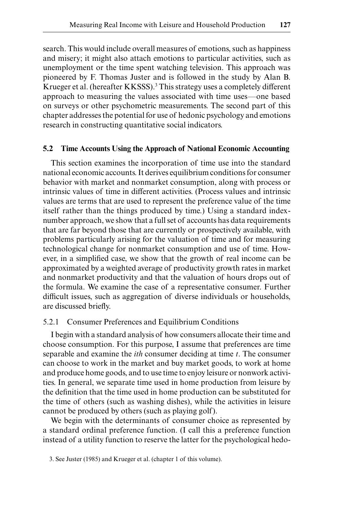search. This would include overall measures of emotions, such as happiness and misery; it might also attach emotions to particular activities, such as unemployment or the time spent watching television. This approach was pioneered by F. Thomas Juster and is followed in the study by Alan B. Krueger et al. (hereafter KKSSS).<sup>3</sup> This strategy uses a completely different approach to measuring the values associated with time uses—one based on surveys or other psychometric measurements. The second part of this chapter addresses the potential for use of hedonic psychology and emotions research in constructing quantitative social indicators.

## **5.2 Time Accounts Using the Approach of National Economic Accounting**

This section examines the incorporation of time use into the standard national economic accounts. It derives equilibrium conditions for consumer behavior with market and nonmarket consumption, along with process or intrinsic values of time in different activities. (Process values and intrinsic values are terms that are used to represent the preference value of the time itself rather than the things produced by time.) Using a standard index number approach, we show that a full set of accounts has data requirements that are far beyond those that are currently or prospectively available, with problems particularly arising for the valuation of time and for measuring technological change for nonmarket consumption and use of time. However, in a simplified case, we show that the growth of real income can be approximated by a weighted average of productivity growth rates in market and nonmarket productivity and that the valuation of hours drops out of the formula. We examine the case of a representative consumer. Further difficult issues, such as aggregation of diverse individuals or households, are discussed briefly.

## 5.2.1 Consumer Preferences and Equilibrium Conditions

I begin with a standard analysis of how consumers allocate their time and choose consumption. For this purpose, I assume that preferences are time separable and examine the *ith* consumer deciding at time *t*. The consumer can choose to work in the market and buy market goods, to work at home and produce home goods, and to use time to enjoy leisure or nonwork activities. In general, we separate time used in home production from leisure by the definition that the time used in home production can be substituted for the time of others (such as washing dishes), while the activities in leisure cannot be produced by others (such as playing golf).

We begin with the determinants of consumer choice as represented by a standard ordinal preference function. (I call this a preference function instead of a utility function to reserve the latter for the psychological hedo-

<sup>3.</sup> See Juster (1985) and Krueger et al. (chapter 1 of this volume).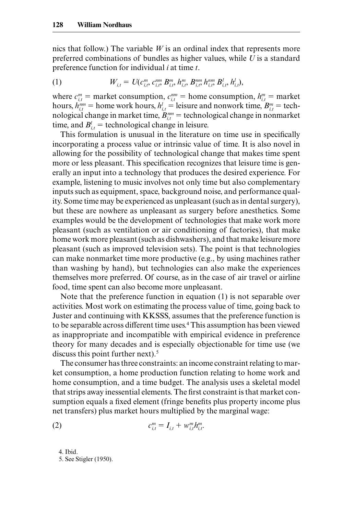nics that follow.) The variable *W* is an ordinal index that represents more preferred combinations of bundles as higher values, while *U* is a standard preference function for individual *i* at time *t*.

$$
(1) \t W_{i,t} = U(c_{i,t}^m, c_{i,t}^{nm}, B_{i,t}^m, h_{i,t}^m, B_{i,t}^{nm}, h_{i,t}^{nm}, B_{i,t}^l, h_{i,t}^l),
$$

where  $c_{i,t}^m$  = market consumption,  $c_{i,t}^{nm}$  = home consumption,  $h_{i,t}^m$  = market hours,  $h_{i,t}^{nm}$  = home work hours,  $h_{i,t}^l$  = leisure and nonwork time,  $B_{i,t}^m$  = technological change in market time,  $B_{i,t}^{mn}$  = technological change in nonmarket time, and  $B_{i,t}^l$  = technological change in leisure.

This formulation is unusual in the literature on time use in specifically incorporating a process value or intrinsic value of time. It is also novel in allowing for the possibility of technological change that makes time spent more or less pleasant. This specification recognizes that leisure time is generally an input into a technology that produces the desired experience. For example, listening to music involves not only time but also complementary inputs such as equipment, space, background noise, and performance quality. Some time may be experienced as unpleasant (such as in dental surgery), but these are nowhere as unpleasant as surgery before anesthetics. Some examples would be the development of technologies that make work more pleasant (such as ventilation or air conditioning of factories), that make home work more pleasant (such as dishwashers), and that make leisure more pleasant (such as improved television sets). The point is that technologies can make nonmarket time more productive (e.g., by using machines rather than washing by hand), but technologies can also make the experiences themselves more preferred. Of course, as in the case of air travel or airline food, time spent can also become more unpleasant.

Note that the preference function in equation (1) is not separable over activities. Most work on estimating the process value of time, going back to Juster and continuing with KKSSS, assumes that the preference function is to be separable across different time uses.4 This assumption has been viewed as inappropriate and incompatible with empirical evidence in preference theory for many decades and is especially objectionable for time use (we discuss this point further next).<sup>5</sup>

The consumer has three constraints: an income constraint relating to market consumption, a home production function relating to home work and home consumption, and a time budget. The analysis uses a skeletal model that strips away inessential elements. The first constraint is that market consumption equals a fixed element (fringe benefits plus property income plus net transfers) plus market hours multiplied by the marginal wage:

(2) 
$$
c_{i,t}^m = I_{i,t} + w_{i,t}^m h_{i,t}^m.
$$

4. Ibid. 5. See Stigler (1950).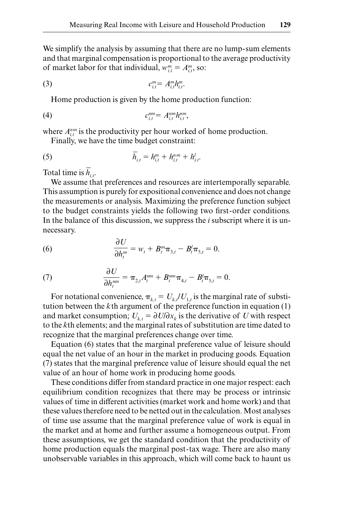We simplify the analysis by assuming that there are no lump-sum elements and that marginal compensation is proportional to the average productivity of market labor for that individual,  $w_{i,t}^m = A_{i,t}^m$ , so:

$$
c_{i,t}^m = A_{i,t}^m h_{i,t}^m.
$$

Home production is given by the home production function:

$$
c_{i,t}^{nm} = A_{i,t}^{nm} h_{i,t}^{nm},
$$

where  $A_{i,t}^{nm}$  is the productivity per hour worked of home production.

Finally, we have the time budget constraint:

(5) 
$$
\overline{h}_{i,t} = h_{i,t}^m + h_{i,t}^{nm} + h_{i,t}^l.
$$

Total time is  $h_{i,t}$ .

We assume that preferences and resources are intertemporally separable. This assumption is purely for expositional convenience and does not change the measurements or analysis. Maximizing the preference function subject to the budget constraints yields the following two first-order conditions. In the balance of this discussion, we suppress the *i* subscript where it is unnecessary.

(6) 
$$
\frac{\partial U}{\partial h_l^m} = w_t + B_l^m \pi_{3,t} - B_l^l \pi_{5,t} = 0.
$$

(7) 
$$
\frac{\partial U}{\partial h_t^{nm}} = \pi_{2,t} A_t^{nm} + B_t^{nm} \pi_{4,t} - B_t^l \pi_{5,t} = 0.
$$

For notational convenience,  $\pi_{k,t} = U_{k,t}/U_{1,t}$  is the marginal rate of substitution between the *k*th argument of the preference function in equation (1) and market consumption;  $U_{kt} = \partial U/\partial x_k$  is the derivative of *U* with respect to the *k*th elements; and the marginal rates of substitution are time dated to recognize that the marginal preferences change over time.

Equation (6) states that the marginal preference value of leisure should equal the net value of an hour in the market in producing goods. Equation (7) states that the marginal preference value of leisure should equal the net value of an hour of home work in producing home goods.

These conditions differ from standard practice in one major respect: each equilibrium condition recognizes that there may be process or intrinsic values of time in different activities (market work and home work) and that these values therefore need to be netted out in the calculation. Most analyses of time use assume that the marginal preference value of work is equal in the market and at home and further assume a homogeneous output. From these assumptions, we get the standard condition that the productivity of home production equals the marginal post-tax wage. There are also many unobservable variables in this approach, which will come back to haunt us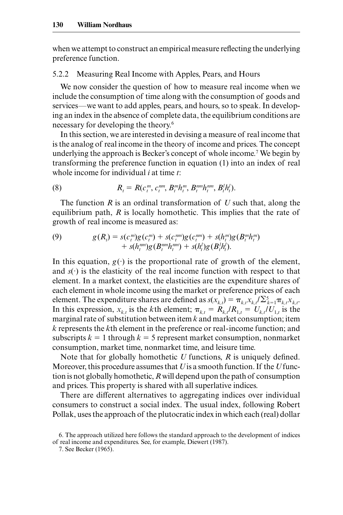when we attempt to construct an empirical measure reflecting the underlying preference function.

#### 5.2.2 Measuring Real Income with Apples, Pears, and Hours

We now consider the question of how to measure real income when we include the consumption of time along with the consumption of goods and services—we want to add apples, pears, and hours, so to speak. In developing an index in the absence of complete data, the equilibrium conditions are necessary for developing the theory.6

In this section, we are interested in devising a measure of real income that is the analog of real income in the theory of income and prices. The concept underlying the approach is Becker's concept of whole income.7 We begin by transforming the preference function in equation (1) into an index of real whole income for individual *i* at time *t*:

(8) 
$$
R_t = R(c_t^m, c_t^{nm}, B_t^m h_t^m, B_t^{nm} h_t^{nm}, B_t^l h_t^l).
$$

The function *R* is an ordinal transformation of *U* such that, along the equilibrium path, *R* is locally homothetic. This implies that the rate of growth of real income is measured as:

(9) 
$$
g(R_i) = s(c_i^m)g(c_i^m) + s(c_i^{mn})g(c_i^{nm}) + s(h_i^m)g(B_i^m h_i^m) + s(h_i^m)g(B_i^m h_i^m) + s(h_i^l)g(B_i^l h_i^l).
$$

In this equation,  $g(\cdot)$  is the proportional rate of growth of the element, and  $s(\cdot)$  is the elasticity of the real income function with respect to that element. In a market context, the elasticities are the expenditure shares of each element in whole income using the market or preference prices of each element. The expenditure shares are defined as  $s(x_{k,t}) = \pi_{k,t} x_{k,t}/\sum_{k=1}^{5} \pi_{k,t} x_{k,t}$ . In this expression,  $x_{k,t}$  is the *k*th element;  $\pi_{k,t} = R_{k,t}/R_{1,t} = U_{k,t}/U_{1,t}$  is the marginal rate of substitution between item *k* and market consumption; item *k* represents the *k*th element in the preference or real- income function; and subscripts  $k = 1$  through  $k = 5$  represent market consumption, nonmarket consumption, market time, nonmarket time, and leisure time.

Note that for globally homothetic  $U$  functions,  $R$  is uniquely defined. Moreover, this procedure assumes that *U* is a smooth function. If the *U* function is not globally homothetic, *R* will depend upon the path of consumption and prices. This property is shared with all superlative indices.

There are different alternatives to aggregating indices over individual consumers to construct a social index. The usual index, following Robert Pollak, uses the approach of the plutocratic index in which each (real) dollar

<sup>6.</sup> The approach utilized here follows the standard approach to the development of indices of real income and expenditures. See, for example, Diewert (1987).

<sup>7.</sup> See Becker (1965).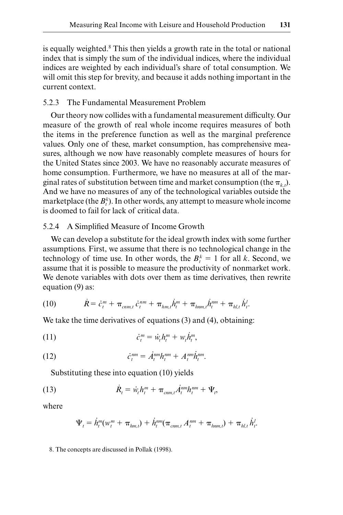is equally weighted.<sup>8</sup> This then yields a growth rate in the total or national index that is simply the sum of the individual indices, where the individual indices are weighted by each individual's share of total consumption. We will omit this step for brevity, and because it adds nothing important in the current context.

## 5.2.3 The Fundamental Measurement Problem

Our theory now collides with a fundamental measurement difficulty. Our measure of the growth of real whole income requires measures of both the items in the preference function as well as the marginal preference values. Only one of these, market consumption, has comprehensive measures, although we now have reasonably complete measures of hours for the United States since 2003. We have no reasonably accurate measures of home consumption. Furthermore, we have no measures at all of the marginal rates of substitution between time and market consumption (the  $\pi_k$ ). And we have no measures of any of the technological variables outside the marketplace (the  $B_t^k$ ). In other words, any attempt to measure whole income is doomed to fail for lack of critical data.

## 5.2.4 A Simplified Measure of Income Growth

We can develop a substitute for the ideal growth index with some further assumptions. First, we assume that there is no technological change in the technology of time use. In other words, the  $B_t^k = 1$  for all *k*. Second, we assume that it is possible to measure the productivity of nonmarket work. We denote variables with dots over them as time derivatives, then rewrite equation (9) as:

(10) 
$$
\dot{R} = \dot{c}_t^m + \pi_{cnm,t} \dot{c}_t^{nm} + \pi_{hm,t} \dot{h}_t^m + \pi_{hnm,t} \dot{h}_t^{nm} + \pi_{h,l,t} \dot{h}_t^l.
$$

We take the time derivatives of equations (3) and (4), obtaining:

$$
(11) \qquad \qquad \dot{c}_t^m = \dot{w}_t h_t^m + w_t \dot{h}_t^m,
$$

(12) 
$$
\dot{c}^{nm}_t = \dot{A}^{nm}_t h^{nm}_t + A^{nm}_t \dot{h}^{nm}_t.
$$

Substituting these into equation (10) yields

(13) 
$$
\dot{R}_t = \dot{w}_t h_t^m + \pi_{cmm,t} \dot{A}_t^{mm} h_t^{mm} + \Psi_t,
$$

where

$$
\Psi_{t} = \dot{h}_{t}^{m}(w_{t}^{m} + \pi_{hm,t}) + \dot{h}_{t}^{mm}(\pi_{cmm,t} A_{t}^{mm} + \pi_{hm,n}) + \pi_{hl,t} \dot{h}_{t}^{l}.
$$

8. The concepts are discussed in Pollak (1998).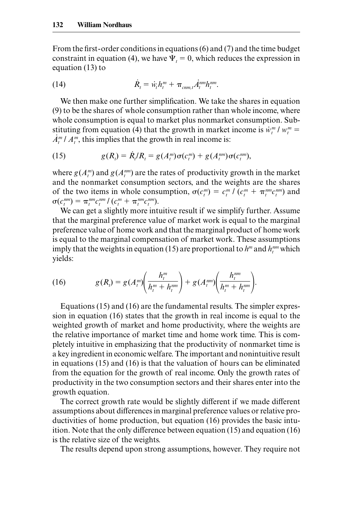From the first-order conditions in equations  $(6)$  and  $(7)$  and the time budget constraint in equation (4), we have  $\Psi$ , = 0, which reduces the expression in equation (13) to

(14) 
$$
\dot{R}_t = \dot{w}_t h_t^m + \pi_{cmnt} \dot{A}_t^{nm} h_t^{nm}.
$$

We then make one further simplification. We take the shares in equation (9) to be the shares of whole consumption rather than whole income, where whole consumption is equal to market plus nonmarket consumption. Substituting from equation (4) that the growth in market income is  $\dot{w}^m_t / w^m_t =$  $A_l^m / A_l^m$ , this implies that the growth in real income is:

(15) 
$$
g(R_i) = \dot{R}_i/R_i = g(A_i^m) \sigma(c_i^m) + g(A_i^{nm}) \sigma(c_i^{nm}),
$$

where  $g(A_t^m)$  and  $g(A_t^{nm})$  are the rates of productivity growth in the market and the nonmarket consumption sectors, and the weights are the shares of the two items in whole consumption,  $\sigma(c_i^m) = c_i^m / (c_i^m + \pi_i^{nm} c_i^{nm})$  and  $\sigma(c_t^{nm}) = \pi_t^{nm} c_t^{nm} / (c_t^m + \pi_t^{nm} c_t^{nm}).$ 

We can get a slightly more intuitive result if we simplify further. Assume that the marginal preference value of market work is equal to the marginal preference value of home work and that the marginal product of home work is equal to the marginal compensation of market work. These assumptions imply that the weights in equation (15) are proportional to  $h^m$  and  $h^{\text{nm}}_t$  which yields:

(16) 
$$
g(R_i) = g(A_i^m) \left( \frac{h_i^m}{h_i^m + h_i^{nm}} \right) + g(A_i^{nm}) \left( \frac{h_i^{nm}}{h_i^m + h_i^{nm}} \right).
$$

Equations (15) and (16) are the fundamental results. The simpler expression in equation (16) states that the growth in real income is equal to the weighted growth of market and home productivity, where the weights are the relative importance of market time and home work time. This is completely intuitive in emphasizing that the productivity of nonmarket time is a key ingredient in economic welfare. The important and nonintuitive result in equations (15) and (16) is that the valuation of hours can be eliminated from the equation for the growth of real income. Only the growth rates of productivity in the two consumption sectors and their shares enter into the growth equation.

The correct growth rate would be slightly different if we made different assumptions about differences in marginal preference values or relative productivities of home production, but equation (16) provides the basic intuition. Note that the only difference between equation (15) and equation (16) is the relative size of the weights.

The results depend upon strong assumptions, however. They require not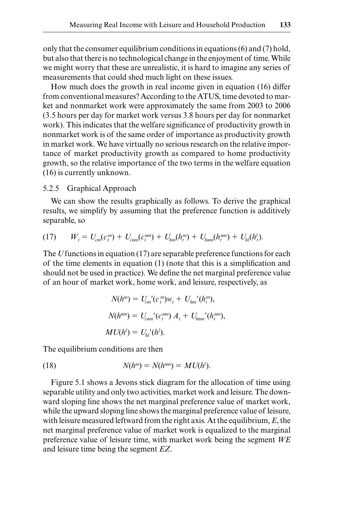only that the consumer equilibrium conditions in equations (6) and (7) hold, but also that there is no technological change in the enjoyment of time. While we might worry that these are unrealistic, it is hard to imagine any series of measurements that could shed much light on these issues.

How much does the growth in real income given in equation (16) differ from conventional measures? According to the ATUS, time devoted to market and nonmarket work were approximately the same from 2003 to 2006 (3.5 hours per day for market work versus 3.8 hours per day for nonmarket work). This indicates that the welfare significance of productivity growth in nonmarket work is of the same order of importance as productivity growth in market work. We have virtually no serious research on the relative importance of market productivity growth as compared to home productivity growth, so the relative importance of the two terms in the welfare equation (16) is currently unknown.

## 5.2.5 Graphical Approach

We can show the results graphically as follows. To derive the graphical results, we simplify by assuming that the preference function is additively separable, so

$$
(17) \t W_t = U_{cm}(c_t^m) + U_{cmm}(c_t^{nm}) + U_{hm}(h_t^m) + U_{hum}(h_t^{nm}) + U_{hl}(h_t^l).
$$

The *U* functions in equation (17) are separable preference functions for each of the time elements in equation  $(1)$  (note that this is a simplification and should not be used in practice). We define the net marginal preference value of an hour of market work, home work, and leisure, respectively, as

$$
N(h^{m}) = U_{cm}'(c_{t}^{m})w_{t} + U_{hm}'(h_{t}^{m}),
$$
  
\n
$$
N(h^{nm}) = U_{cmn'}(c_{t}^{nm}) A_{t} + U_{hm'}(h_{t}^{nm}),
$$
  
\n
$$
MU(h^{l}) = U_{hl}'(h^{l}).
$$

The equilibrium conditions are then

$$
(18) \t\t N(hm) = N(hnm) = MU(hl).
$$

Figure 5.1 shows a Jevons stick diagram for the allocation of time using separable utility and only two activities, market work and leisure. The downward sloping line shows the net marginal preference value of market work, while the upward sloping line shows the marginal preference value of leisure, with leisure measured leftward from the right axis. At the equilibrium, *E*, the net marginal preference value of market work is equalized to the marginal preference value of leisure time, with market work being the segment *WE* and leisure time being the segment *EZ*.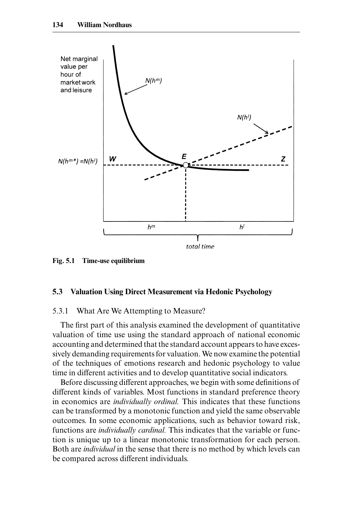

Fig. 5.1 Time-use equilibrium

#### **5.3 Valuation Using Direct Measurement via Hedonic Psychology**

#### 5.3.1 What Are We Attempting to Measure?

The first part of this analysis examined the development of quantitative valuation of time use using the standard approach of national economic accounting and determined that the standard account appears to have excessively demanding requirements for valuation. We now examine the potential of the techniques of emotions research and hedonic psychology to value time in different activities and to develop quantitative social indicators.

Before discussing different approaches, we begin with some definitions of different kinds of variables. Most functions in standard preference theory in economics are *individually ordinal.* This indicates that these functions can be transformed by a monotonic function and yield the same observable outcomes. In some economic applications, such as behavior toward risk, functions are *individually cardinal.* This indicates that the variable or function is unique up to a linear monotonic transformation for each person. Both are *individual* in the sense that there is no method by which levels can be compared across different individuals.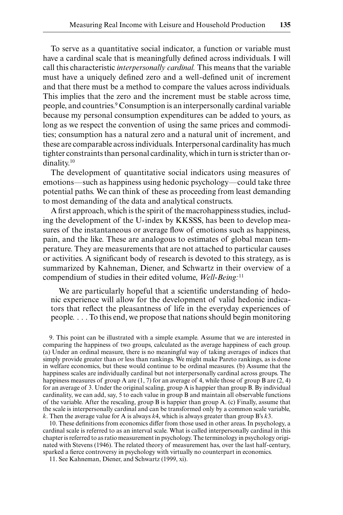To serve as a quantitative social indicator, a function or variable must have a cardinal scale that is meaningfully defined across individuals. I will call this characteristic *interpersonally cardinal.* This means that the variable must have a uniquely defined zero and a well-defined unit of increment and that there must be a method to compare the values across individuals. This implies that the zero and the increment must be stable across time, people, and countries.<sup>9</sup> Consumption is an interpersonally cardinal variable because my personal consumption expenditures can be added to yours, as long as we respect the convention of using the same prices and commodities; consumption has a natural zero and a natural unit of increment, and these are comparable across individuals. Interpersonal cardinality has much tighter constraints than personal cardinality, which in turn is stricter than ordinality.<sup>10</sup>

The development of quantitative social indicators using measures of emotions—such as happiness using hedonic psychology—could take three potential paths. We can think of these as proceeding from least demanding to most demanding of the data and analytical constructs.

A first approach, which is the spirit of the macrohappiness studies, including the development of the U- index by KKSSS, has been to develop measures of the instantaneous or average flow of emotions such as happiness, pain, and the like. These are analogous to estimates of global mean temperature. They are measurements that are not attached to particular causes or activities. A significant body of research is devoted to this strategy, as is summarized by Kahneman, Diener, and Schwartz in their overview of a compendium of studies in their edited volume, *Well- Being:*<sup>11</sup>

We are particularly hopeful that a scientific understanding of hedonic experience will allow for the development of valid hedonic indicators that reflect the pleasantness of life in the everyday experiences of people. . . . To this end, we propose that nations should begin monitoring

9. This point can be illustrated with a simple example. Assume that we are interested in comparing the happiness of two groups, calculated as the average happiness of each group. (a) Under an ordinal measure, there is no meaningful way of taking averages of indices that simply provide greater than or less than rankings. We might make Pareto rankings, as is done in welfare economics, but these would continue to be ordinal measures. (b) Assume that the happiness scales are individually cardinal but not interpersonally cardinal across groups. The happiness measures of group A are  $(1, 7)$  for an average of 4, while those of group B are  $(2, 4)$ for an average of 3. Under the original scaling, group A is happier than group B. By individual cardinality, we can add, say, 5 to each value in group B and maintain all observable functions of the variable. After the rescaling, group B is happier than group A. (c) Finally, assume that the scale is interpersonally cardinal and can be transformed only by a common scale variable, *k*. Then the average value for A is always *k*4, which is always greater than group B's *k*3.

10. These definitions from economics differ from those used in other areas. In psychology, a cardinal scale is referred to as an interval scale. What is called interpersonally cardinal in this chapter is referred to as ratio measurement in psychology. The terminology in psychology originated with Stevens (1946). The related theory of measurement has, over the last half- century, sparked a fierce controversy in psychology with virtually no counterpart in economics.

11. See Kahneman, Diener, and Schwartz (1999, xi).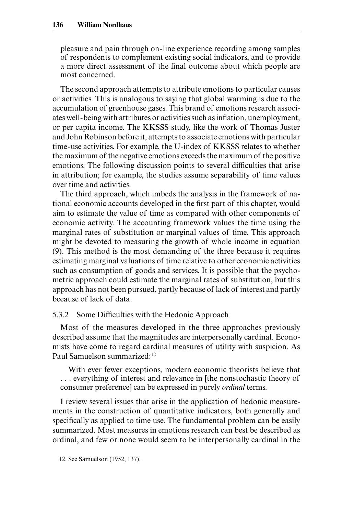pleasure and pain through on- line experience recording among samples of respondents to complement existing social indicators, and to provide a more direct assessment of the final outcome about which people are most concerned.

The second approach attempts to attribute emotions to particular causes or activities. This is analogous to saying that global warming is due to the accumulation of greenhouse gases. This brand of emotions research associates well-being with attributes or activities such as inflation, unemployment, or per capita income. The KKSSS study, like the work of Thomas Juster and John Robinson before it, attempts to associate emotions with particular time- use activities. For example, the U- index of KKSSS relates to whether the maximum of the negative emotions exceeds the maximum of the positive emotions. The following discussion points to several difficulties that arise in attribution; for example, the studies assume separability of time values over time and activities.

The third approach, which imbeds the analysis in the framework of national economic accounts developed in the first part of this chapter, would aim to estimate the value of time as compared with other components of economic activity. The accounting framework values the time using the marginal rates of substitution or marginal values of time. This approach might be devoted to measuring the growth of whole income in equation (9). This method is the most demanding of the three because it requires estimating marginal valuations of time relative to other economic activities such as consumption of goods and services. It is possible that the psychometric approach could estimate the marginal rates of substitution, but this approach has not been pursued, partly because of lack of interest and partly because of lack of data.

#### 5.3.2 Some Difficulties with the Hedonic Approach

Most of the measures developed in the three approaches previously described assume that the magnitudes are interpersonally cardinal. Economists have come to regard cardinal measures of utility with suspicion. As Paul Samuelson summarized:12

 With ever fewer exceptions, modern economic theorists believe that . . . everything of interest and relevance in [the nonstochastic theory of consumer preference] can be expressed in purely *ordinal* terms.

I review several issues that arise in the application of hedonic measurements in the construction of quantitative indicators, both generally and specifically as applied to time use. The fundamental problem can be easily summarized. Most measures in emotions research can best be described as ordinal, and few or none would seem to be interpersonally cardinal in the

<sup>12.</sup> See Samuelson (1952, 137).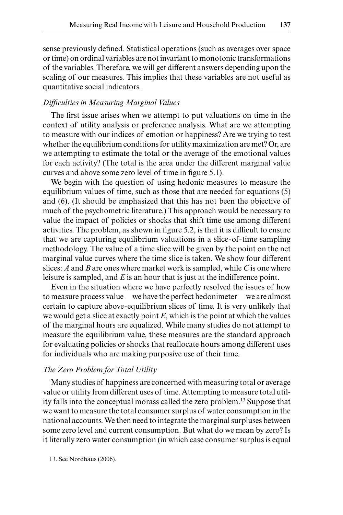sense previously defined. Statistical operations (such as averages over space or time) on ordinal variables are not invariant to monotonic transformations of the variables. Therefore, we will get different answers depending upon the scaling of our measures. This implies that these variables are not useful as quantitative social indicators.

#### *Difficulties in Measuring Marginal Values*

The first issue arises when we attempt to put valuations on time in the context of utility analysis or preference analysis. What are we attempting to measure with our indices of emotion or happiness? Are we trying to test whether the equilibrium conditions for utility maximization are met? Or, are we attempting to estimate the total or the average of the emotional values for each activity? (The total is the area under the different marginal value curves and above some zero level of time in figure 5.1).

We begin with the question of using hedonic measures to measure the equilibrium values of time, such as those that are needed for equations (5) and (6). (It should be emphasized that this has not been the objective of much of the psychometric literature.) This approach would be necessary to value the impact of policies or shocks that shift time use among different activities. The problem, as shown in figure 5.2, is that it is difficult to ensure that we are capturing equilibrium valuations in a slice-of-time sampling methodology. The value of a time slice will be given by the point on the net marginal value curves where the time slice is taken. We show four different slices: *A* and *B* are ones where market work is sampled, while *C* is one where leisure is sampled, and *E* is an hour that is just at the indifference point.

Even in the situation where we have perfectly resolved the issues of how to measure process value—we have the perfect hedonimeter—we are almost certain to capture above- equilibrium slices of time. It is very unlikely that we would get a slice at exactly point *E*, which is the point at which the values of the marginal hours are equalized. While many studies do not attempt to measure the equilibrium value, these measures are the standard approach for evaluating policies or shocks that reallocate hours among different uses for individuals who are making purposive use of their time.

## *The Zero Problem for Total Utility*

Many studies of happiness are concerned with measuring total or average value or utility from different uses of time. Attempting to measure total utility falls into the conceptual morass called the zero problem.13 Suppose that we want to measure the total consumer surplus of water consumption in the national accounts. We then need to integrate the marginal surpluses between some zero level and current consumption. But what do we mean by zero? Is it literally zero water consumption (in which case consumer surplus is equal

13. See Nordhaus (2006).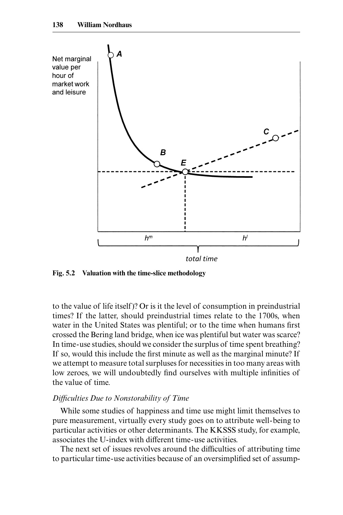

Fig. 5.2 Valuation with the time-slice methodology

to the value of life itself)? Or is it the level of consumption in preindustrial times? If the latter, should preindustrial times relate to the 1700s, when water in the United States was plentiful; or to the time when humans first crossed the Bering land bridge, when ice was plentiful but water was scarce? In time- use studies, should we consider the surplus of time spent breathing? If so, would this include the first minute as well as the marginal minute? If we attempt to measure total surpluses for necessities in too many areas with low zeroes, we will undoubtedly find ourselves with multiple infinities of the value of time.

## *Difficulties Due to Nonstorability of Time*

While some studies of happiness and time use might limit themselves to pure measurement, virtually every study goes on to attribute well- being to particular activities or other determinants. The KKSSS study, for example, associates the U-index with different time-use activities.

The next set of issues revolves around the difficulties of attributing time to particular time-use activities because of an oversimplified set of assump-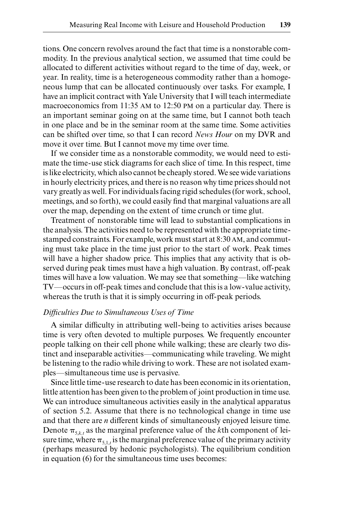tions. One concern revolves around the fact that time is a nonstorable commodity. In the previous analytical section, we assumed that time could be allocated to different activities without regard to the time of day, week, or year. In reality, time is a heterogeneous commodity rather than a homogeneous lump that can be allocated continuously over tasks. For example, I have an implicit contract with Yale University that I will teach intermediate macroeconomics from 11:35 AM to 12:50 PM on a particular day. There is an important seminar going on at the same time, but I cannot both teach in one place and be in the seminar room at the same time. Some activities can be shifted over time, so that I can record *News Hour* on my DVR and move it over time. But I cannot move my time over time.

If we consider time as a nonstorable commodity, we would need to estimate the time- use stick diagrams for each slice of time. In this respect, time is like electricity, which also cannot be cheaply stored. We see wide variations in hourly electricity prices, and there is no reason why time prices should not vary greatly as well. For individuals facing rigid schedules (for work, school, meetings, and so forth), we could easily find that marginal valuations are all over the map, depending on the extent of time crunch or time glut.

Treatment of nonstorable time will lead to substantial complications in the analysis. The activities need to be represented with the appropriate time stamped constraints. For example, work must start at 8:30 AM, and commuting must take place in the time just prior to the start of work. Peak times will have a higher shadow price. This implies that any activity that is observed during peak times must have a high valuation. By contrast, off- peak times will have a low valuation. We may see that something—like watching TV—occurs in off- peak times and conclude that this is a low- value activity, whereas the truth is that it is simply occurring in off-peak periods.

## *Difficulties Due to Simultaneous Uses of Time*

A similar difficulty in attributing well- being to activities arises because time is very often devoted to multiple purposes. We frequently encounter people talking on their cell phone while walking; these are clearly two distinct and inseparable activities—communicating while traveling. We might be listening to the radio while driving to work. These are not isolated examples—simultaneous time use is pervasive.

Since little time- use research to date has been economic in its orientation, little attention has been given to the problem of joint production in time use. We can introduce simultaneous activities easily in the analytical apparatus of section 5.2. Assume that there is no technological change in time use and that there are *n* different kinds of simultaneously enjoyed leisure time. Denote  $\pi_{s,k}$  as the marginal preference value of the *k*th component of leisure time, where  $\pi_{5,1,t}$  is the marginal preference value of the primary activity (perhaps measured by hedonic psychologists). The equilibrium condition in equation (6) for the simultaneous time uses becomes: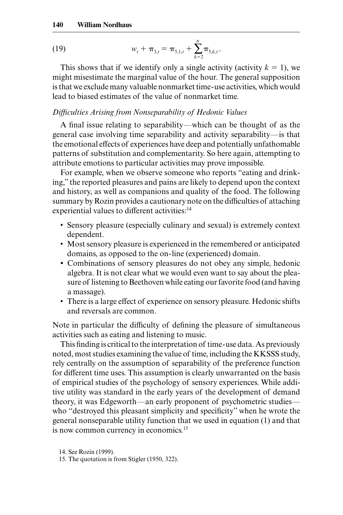(19) 
$$
w_{t} + \pi_{3,t} = \pi_{5,1,t} + \sum_{k=2}^{n} \pi_{5,k,t}.
$$

This shows that if we identify only a single activity (activity  $k = 1$ ), we might misestimate the marginal value of the hour. The general supposition is that we exclude many valuable nonmarket time- use activities, which would lead to biased estimates of the value of nonmarket time.

## *Difficulties Arising from Nonseparability of Hedonic Values*

A final issue relating to separability—which can be thought of as the general case involving time separability and activity separability—is that the emotional effects of experiences have deep and potentially unfathomable patterns of substitution and complementarity. So here again, attempting to attribute emotions to particular activities may prove impossible.

For example, when we observe someone who reports "eating and drinking," the reported pleasures and pains are likely to depend upon the context and history, as well as companions and quality of the food. The following summary by Rozin provides a cautionary note on the difficulties of attaching experiential values to different activities:<sup>14</sup>

- Sensory pleasure (especially culinary and sexual) is extremely context dependent.
- Most sensory pleasure is experienced in the remembered or anticipated domains, as opposed to the on- line (experienced) domain.
- Combinations of sensory pleasures do not obey any simple, hedonic algebra. It is not clear what we would even want to say about the pleasure of listening to Beethoven while eating our favorite food (and having a massage).
- There is a large effect of experience on sensory pleasure. Hedonic shifts and reversals are common.

Note in particular the difficulty of defining the pleasure of simultaneous activities such as eating and listening to music.

This finding is critical to the interpretation of time-use data. As previously noted, most studies examining the value of time, including the KKSSS study, rely centrally on the assumption of separability of the preference function for different time uses. This assumption is clearly unwarranted on the basis of empirical studies of the psychology of sensory experiences. While additive utility was standard in the early years of the development of demand theory, it was Edgeworth—an early proponent of psychometric studies who "destroyed this pleasant simplicity and specificity" when he wrote the general nonseparable utility function that we used in equation (1) and that is now common currency in economics.<sup>15</sup>

<sup>14.</sup> See Rozin (1999).

<sup>15.</sup> The quotation is from Stigler (1950, 322).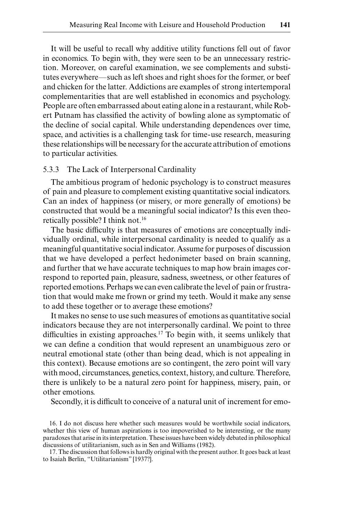It will be useful to recall why additive utility functions fell out of favor in economics. To begin with, they were seen to be an unnecessary restriction. Moreover, on careful examination, we see complements and substitutes everywhere—such as left shoes and right shoes for the former, or beef and chicken for the latter. Addictions are examples of strong intertemporal complementarities that are well established in economics and psychology. People are often embarrassed about eating alone in a restaurant, while Robert Putnam has classified the activity of bowling alone as symptomatic of the decline of social capital. While understanding dependences over time, space, and activities is a challenging task for time- use research, measuring these relationships will be necessary for the accurate attribution of emotions to particular activities.

## 5.3.3 The Lack of Interpersonal Cardinality

The ambitious program of hedonic psychology is to construct measures of pain and pleasure to complement existing quantitative social indicators. Can an index of happiness (or misery, or more generally of emotions) be constructed that would be a meaningful social indicator? Is this even theoretically possible? I think not.16

The basic difficulty is that measures of emotions are conceptually individually ordinal, while interpersonal cardinality is needed to qualify as a meaningful quantitative social indicator. Assume for purposes of discussion that we have developed a perfect hedonimeter based on brain scanning, and further that we have accurate techniques to map how brain images correspond to reported pain, pleasure, sadness, sweetness, or other features of reported emotions. Perhaps we can even calibrate the level of pain or frustration that would make me frown or grind my teeth. Would it make any sense to add these together or to average these emotions?

It makes no sense to use such measures of emotions as quantitative social indicators because they are not interpersonally cardinal. We point to three difficulties in existing approaches.<sup>17</sup> To begin with, it seems unlikely that we can define a condition that would represent an unambiguous zero or neutral emotional state (other than being dead, which is not appealing in this context). Because emotions are so contingent, the zero point will vary with mood, circumstances, genetics, context, history, and culture. Therefore, there is unlikely to be a natural zero point for happiness, misery, pain, or other emotions.

Secondly, it is difficult to conceive of a natural unit of increment for emo-

16. I do not discuss here whether such measures would be worthwhile social indicators, whether this view of human aspirations is too impoverished to be interesting, or the many paradoxes that arise in its interpretation. These issues have been widely debated in philosophical discussions of utilitarianism, such as in Sen and Williams (1982).

17. The discussion that follows is hardly original with the present author. It goes back at least to Isaiah Berlin, "Utilitarianism" [1937?].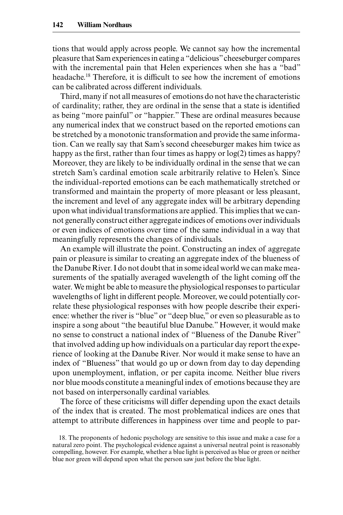tions that would apply across people. We cannot say how the incremental pleasure that Sam experiences in eating a "delicious" cheeseburger compares with the incremental pain that Helen experiences when she has a "bad" headache.18 Therefore, it is difficult to see how the increment of emotions can be calibrated across different individuals.

Third, many if not all measures of emotions do not have the characteristic of cardinality; rather, they are ordinal in the sense that a state is identified as being "more painful" or "happier." These are ordinal measures because any numerical index that we construct based on the reported emotions can be stretched by a monotonic transformation and provide the same information. Can we really say that Sam's second cheeseburger makes him twice as happy as the first, rather than four times as happy or  $log(2)$  times as happy? Moreover, they are likely to be individually ordinal in the sense that we can stretch Sam's cardinal emotion scale arbitrarily relative to Helen's. Since the individual- reported emotions can be each mathematically stretched or transformed and maintain the property of more pleasant or less pleasant, the increment and level of any aggregate index will be arbitrary depending upon what individual transformations are applied. This implies that we cannot generally construct either aggregate indices of emotions over individuals or even indices of emotions over time of the same individual in a way that meaningfully represents the changes of individuals.

An example will illustrate the point. Constructing an index of aggregate pain or pleasure is similar to creating an aggregate index of the blueness of the Danube River. I do not doubt that in some ideal world we can make measurements of the spatially averaged wavelength of the light coming off the water. We might be able to measure the physiological responses to particular wavelengths of light in different people. Moreover, we could potentially correlate these physiological responses with how people describe their experience: whether the river is "blue" or "deep blue," or even so pleasurable as to inspire a song about "the beautiful blue Danube." However, it would make no sense to construct a national index of "Blueness of the Danube River" that involved adding up how individuals on a particular day report the experience of looking at the Danube River. Nor would it make sense to have an index of "Blueness" that would go up or down from day to day depending upon unemployment, inflation, or per capita income. Neither blue rivers nor blue moods constitute a meaningful index of emotions because they are not based on interpersonally cardinal variables.

The force of these criticisms will differ depending upon the exact details of the index that is created. The most problematical indices are ones that attempt to attribute differences in happiness over time and people to par-

<sup>18.</sup> The proponents of hedonic psychology are sensitive to this issue and make a case for a natural zero point. The psychological evidence against a universal neutral point is reasonably compelling, however. For example, whether a blue light is perceived as blue or green or neither blue nor green will depend upon what the person saw just before the blue light.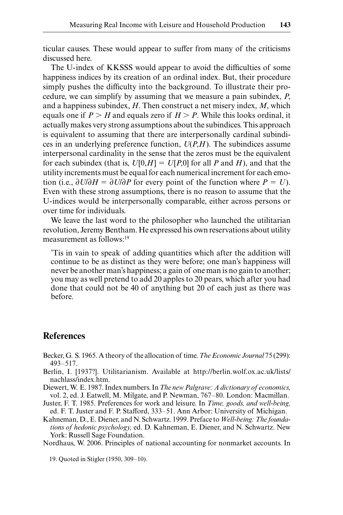ticular causes. These would appear to suffer from many of the criticisms discussed here.

The U- index of KKSSS would appear to avoid the difficulties of some happiness indices by its creation of an ordinal index. But, their procedure simply pushes the difficulty into the background. To illustrate their procedure, we can simplify by assuming that we measure a pain subindex, *P*, and a happiness subindex, *H*. Then construct a net misery index, *M*, which equals one if  $P > H$  and equals zero if  $H > P$ . While this looks ordinal, it actually makes very strong assumptions about the subindices. This approach is equivalent to assuming that there are interpersonally cardinal subindices in an underlying preference function, *U*(*P*,*H*). The subindices assume interpersonal cardinality in the sense that the zeros must be the equivalent for each subindex (that is,  $U[0,H] = U[P,0]$  for all *P* and *H*), and that the utility increments must be equal for each numerical increment for each emotion (i.e.,  $\partial U/\partial H = \partial U/\partial P$  for every point of the function where  $P = U$ ). Even with these strong assumptions, there is no reason to assume that the U- indices would be interpersonally comparable, either across persons or over time for individuals.

We leave the last word to the philosopher who launched the utilitarian revolution, Jeremy Bentham. He expressed his own reservations about utility measurement as follows:19

'Tis in vain to speak of adding quantities which after the addition will continue to be as distinct as they were before; one man's happiness will never be another man's happiness; a gain of one man is no gain to another; you may as well pretend to add 20 apples to 20 pears, which after you had done that could not be 40 of anything but 20 of each just as there was before.

# **References**

- Becker, G. S. 1965. A theory of the allocation of time. *The Economic Journal* 75 (299): 493– 517.
- Berlin, I. [1937?]. Utilitarianism. Available at http://berlin.wolf.ox.ac.uk/lists/ nachlass/index.htm.
- Diewert, W. E. 1987. Index numbers. In *The new Palgrave: A dictionary of economics,* vol. 2, ed. J. Eatwell, M. Milgate, and P. Newman, 767– 80. London: Macmillan.
- Juster, F. T. 1985. Preferences for work and leisure. In *Time, goods, and well- being,* ed. F. T. Juster and F. P. Stafford, 333–51. Ann Arbor: University of Michigan.
- Kahneman, D., E. Diener, and N. Schwartz. 1999. Preface to *Well- being: The foundations of hedonic psychology,* ed. D. Kahneman, E. Diener, and N. Schwartz. New York: Russell Sage Foundation.

Nordhaus, W. 2006. Principles of national accounting for nonmarket accounts. In

19. Quoted in Stigler (1950, 309– 10).